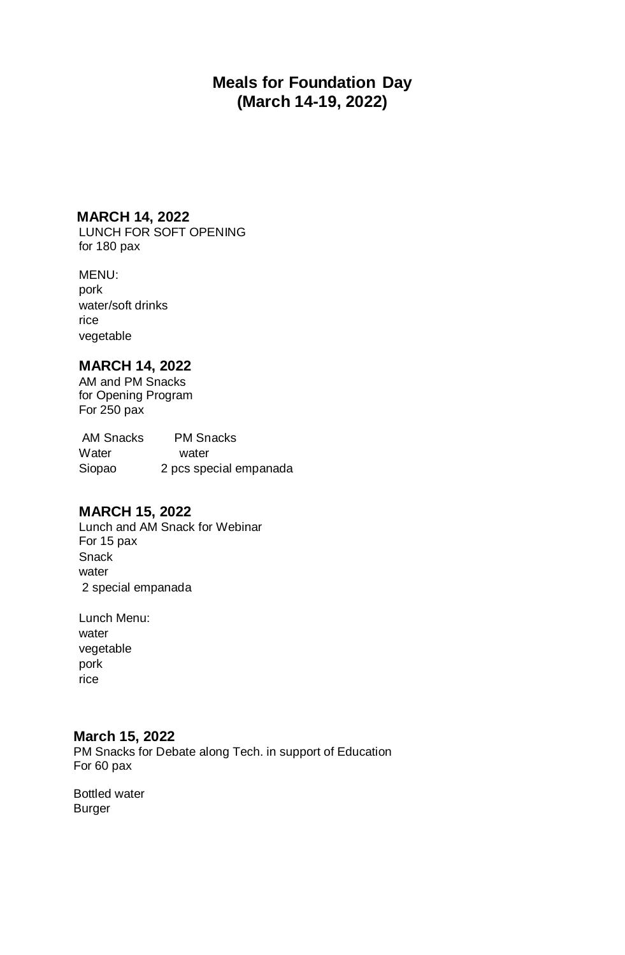# **Meals for Foundation Day (March 14-19, 2022)**

### **MARCH 14, 2022**

LUNCH FOR SOFT OPENING for 180 pax

### MENU:

pork water/soft drinks rice vegetable

## **MARCH 14, 2022**

AM and PM Snacks for Opening Program For 250 pax

AM Snacks PM Snacks Water water Siopao 2 pcs special empanada

## **MARCH 15, 2022**

Lunch and AM Snack for Webinar For 15 pax **Snack** water 2 special empanada

Lunch Menu: water vegetable pork rice

### **March 15, 2022**

PM Snacks for Debate along Tech. in support of Education For 60 pax

Bottled water Burger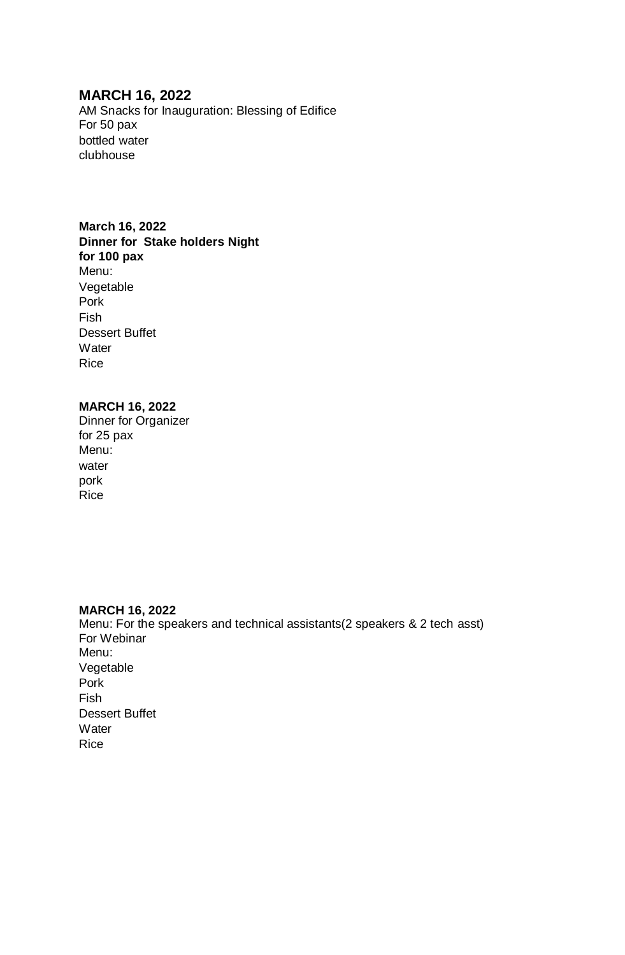## **MARCH 16, 2022**

AM Snacks for Inauguration: Blessing of Edifice For 50 pax bottled water clubhouse

### **March 16, 2022**

**Dinner for Stake holders Night for 100 pax** Menu: Vegetable Pork Fish Dessert Buffet **Water** Rice

#### **MARCH 16, 2022**

Dinner for Organizer for 25 pax Menu: water pork Rice

#### **MARCH 16, 2022** Menu: For the speakers and technical assistants(2 speakers & 2 tech asst) For Webinar Menu: Vegetable Pork Fish Dessert Buffet **Water** Rice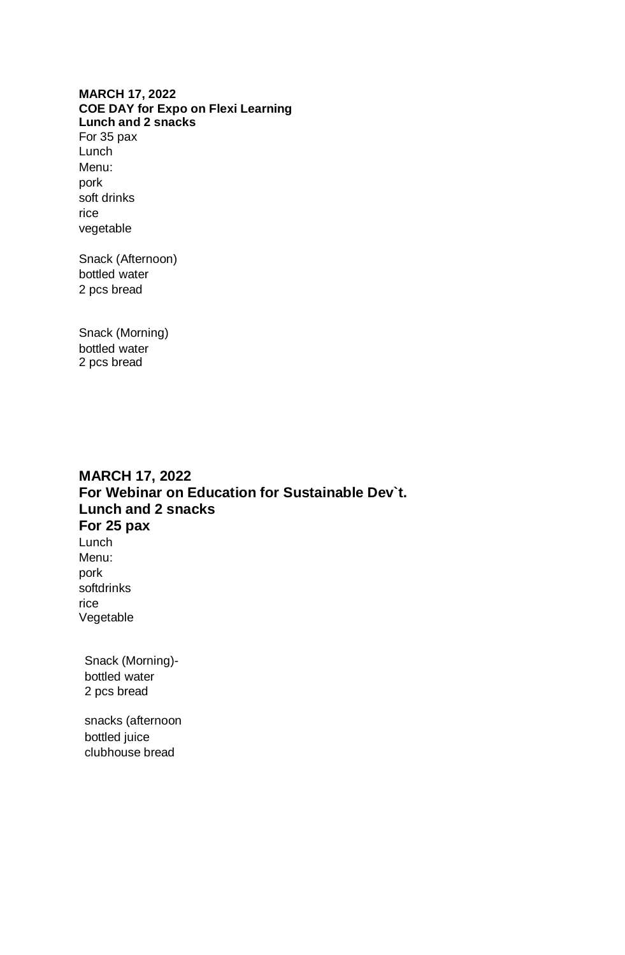#### **MARCH 17, 2022 COE DAY for Expo on Flexi Learning Lunch and 2 snacks**

For 35 pax Lunch Menu: pork soft drinks rice vegetable

Snack (Afternoon) bottled water 2 pcs bread

Snack (Morning) bottled water 2 pcs bread

# **MARCH 17, 2022 For Webinar on Education for Sustainable Dev`t. Lunch and 2 snacks For 25 pax**

Lunch Menu: pork softdrinks rice Vegetable

Snack (Morning) bottled water 2 pcs bread

snacks (afternoon bottled juice clubhouse bread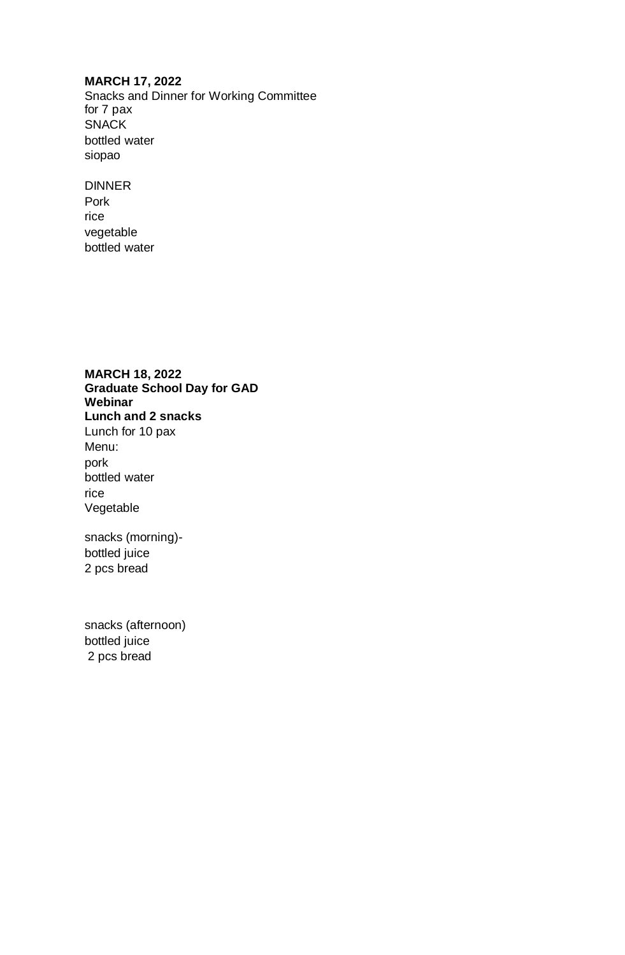#### **MARCH 17, 2022**

Snacks and Dinner for Working Committee for 7 pax SNACK bottled water siopao

DINNER Pork rice vegetable bottled water

**MARCH 18, 2022 Graduate School Day for GAD Webinar Lunch and 2 snacks** Lunch for 10 pax Menu: pork bottled water rice Vegetable

snacks (morning) bottled juice 2 pcs bread

snacks (afternoon) bottled juice 2 pcs bread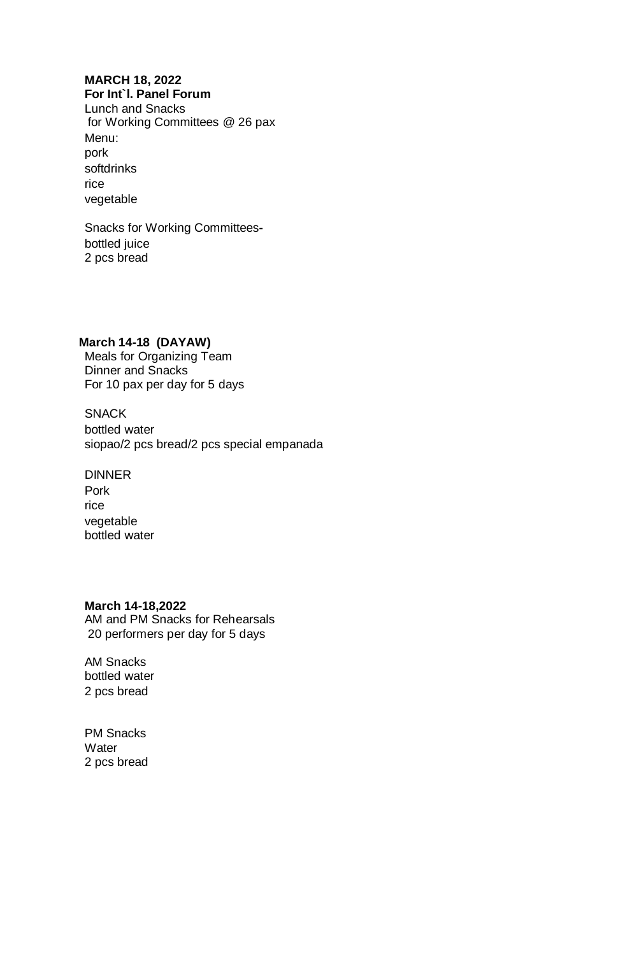## **MARCH 18, 2022**

**For Int`l. Panel Forum** Lunch and Snacks for Working Committees @ 26 pax Menu: pork softdrinks rice vegetable

Snacks for Working Committeesbottled juice 2 pcs bread

#### **March 14-18 (DAYAW)**

Meals for Organizing Team Dinner and Snacks For 10 pax per day for 5 days

**SNACK** bottled water siopao/2 pcs bread/2 pcs special empanada

DINNER Pork rice vegetable bottled water

#### **March 14-18,2022**

AM and PM Snacks for Rehearsals 20 performers per day for 5 days

AM Snacks bottled water 2 pcs bread

PM Snacks **Water** 2 pcs bread